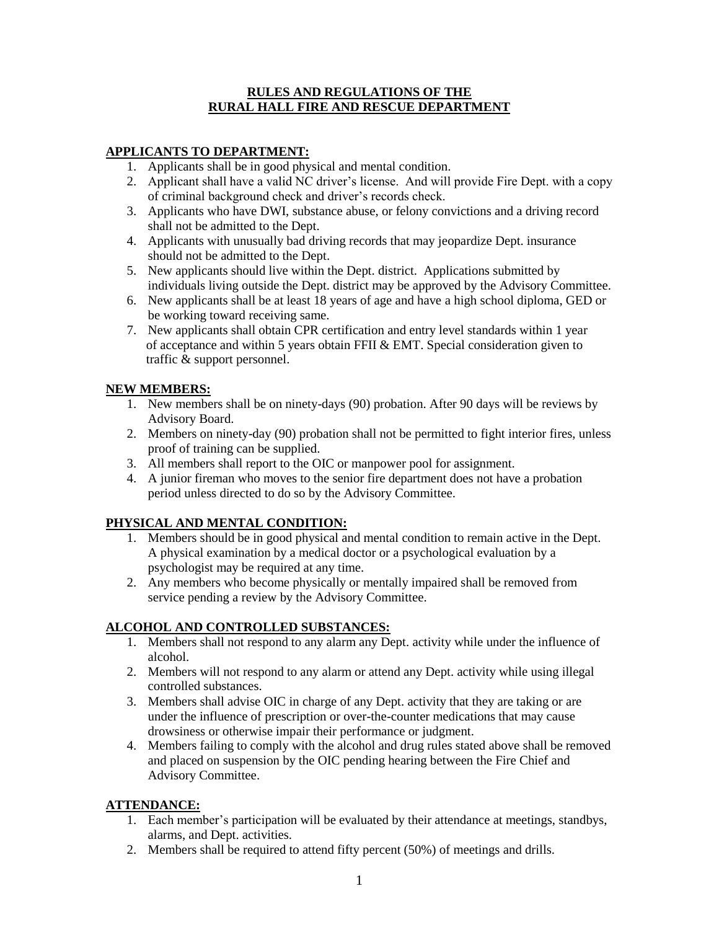#### **RULES AND REGULATIONS OF THE RURAL HALL FIRE AND RESCUE DEPARTMENT**

## **APPLICANTS TO DEPARTMENT:**

- 1. Applicants shall be in good physical and mental condition.
- 2. Applicant shall have a valid NC driver's license. And will provide Fire Dept. with a copy of criminal background check and driver's records check.
- 3. Applicants who have DWI, substance abuse, or felony convictions and a driving record shall not be admitted to the Dept.
- 4. Applicants with unusually bad driving records that may jeopardize Dept. insurance should not be admitted to the Dept.
- 5. New applicants should live within the Dept. district. Applications submitted by individuals living outside the Dept. district may be approved by the Advisory Committee.
- 6. New applicants shall be at least 18 years of age and have a high school diploma, GED or be working toward receiving same.
- 7. New applicants shall obtain CPR certification and entry level standards within 1 year of acceptance and within 5 years obtain FFII & EMT. Special consideration given to traffic & support personnel.

### **NEW MEMBERS:**

- 1. New members shall be on ninety-days (90) probation. After 90 days will be reviews by Advisory Board.
- 2. Members on ninety-day (90) probation shall not be permitted to fight interior fires, unless proof of training can be supplied.
- 3. All members shall report to the OIC or manpower pool for assignment.
- 4. A junior fireman who moves to the senior fire department does not have a probation period unless directed to do so by the Advisory Committee.

# **PHYSICAL AND MENTAL CONDITION:**

- 1. Members should be in good physical and mental condition to remain active in the Dept. A physical examination by a medical doctor or a psychological evaluation by a psychologist may be required at any time.
- 2. Any members who become physically or mentally impaired shall be removed from service pending a review by the Advisory Committee.

# **ALCOHOL AND CONTROLLED SUBSTANCES:**

- 1. Members shall not respond to any alarm any Dept. activity while under the influence of alcohol.
- 2. Members will not respond to any alarm or attend any Dept. activity while using illegal controlled substances.
- 3. Members shall advise OIC in charge of any Dept. activity that they are taking or are under the influence of prescription or over-the-counter medications that may cause drowsiness or otherwise impair their performance or judgment.
- 4. Members failing to comply with the alcohol and drug rules stated above shall be removed and placed on suspension by the OIC pending hearing between the Fire Chief and Advisory Committee.

### **ATTENDANCE:**

- 1. Each member's participation will be evaluated by their attendance at meetings, standbys, alarms, and Dept. activities.
- 2. Members shall be required to attend fifty percent (50%) of meetings and drills.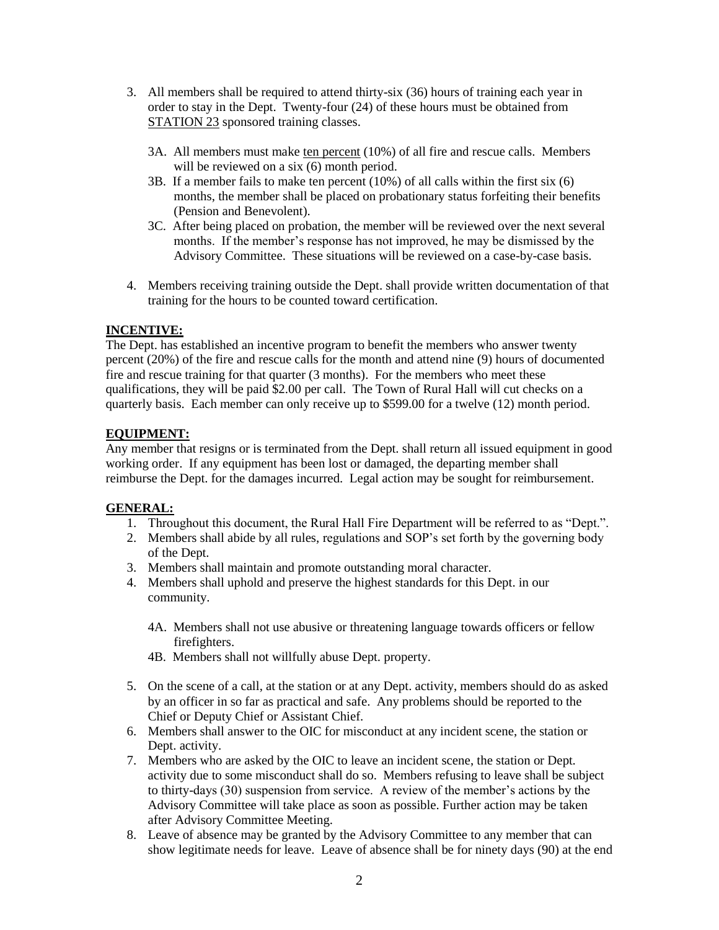- 3. All members shall be required to attend thirty-six (36) hours of training each year in order to stay in the Dept. Twenty-four (24) of these hours must be obtained from STATION 23 sponsored training classes.
	- 3A. All members must make ten percent (10%) of all fire and rescue calls. Members will be reviewed on a six  $(6)$  month period.
	- 3B. If a member fails to make ten percent (10%) of all calls within the first six (6) months, the member shall be placed on probationary status forfeiting their benefits (Pension and Benevolent).
	- 3C. After being placed on probation, the member will be reviewed over the next several months. If the member's response has not improved, he may be dismissed by the Advisory Committee. These situations will be reviewed on a case-by-case basis.
- 4. Members receiving training outside the Dept. shall provide written documentation of that training for the hours to be counted toward certification.

### **INCENTIVE:**

The Dept. has established an incentive program to benefit the members who answer twenty percent (20%) of the fire and rescue calls for the month and attend nine (9) hours of documented fire and rescue training for that quarter (3 months). For the members who meet these qualifications, they will be paid \$2.00 per call. The Town of Rural Hall will cut checks on a quarterly basis. Each member can only receive up to \$599.00 for a twelve (12) month period.

### **EQUIPMENT:**

Any member that resigns or is terminated from the Dept. shall return all issued equipment in good working order. If any equipment has been lost or damaged, the departing member shall reimburse the Dept. for the damages incurred. Legal action may be sought for reimbursement.

### **GENERAL:**

- 1. Throughout this document, the Rural Hall Fire Department will be referred to as "Dept.".
- 2. Members shall abide by all rules, regulations and SOP's set forth by the governing body of the Dept.
- 3. Members shall maintain and promote outstanding moral character.
- 4. Members shall uphold and preserve the highest standards for this Dept. in our community.
	- 4A. Members shall not use abusive or threatening language towards officers or fellow firefighters.
	- 4B. Members shall not willfully abuse Dept. property.
- 5. On the scene of a call, at the station or at any Dept. activity, members should do as asked by an officer in so far as practical and safe. Any problems should be reported to the Chief or Deputy Chief or Assistant Chief.
- 6. Members shall answer to the OIC for misconduct at any incident scene, the station or Dept. activity.
- 7. Members who are asked by the OIC to leave an incident scene, the station or Dept. activity due to some misconduct shall do so. Members refusing to leave shall be subject to thirty-days (30) suspension from service. A review of the member's actions by the Advisory Committee will take place as soon as possible. Further action may be taken after Advisory Committee Meeting.
- 8. Leave of absence may be granted by the Advisory Committee to any member that can show legitimate needs for leave. Leave of absence shall be for ninety days (90) at the end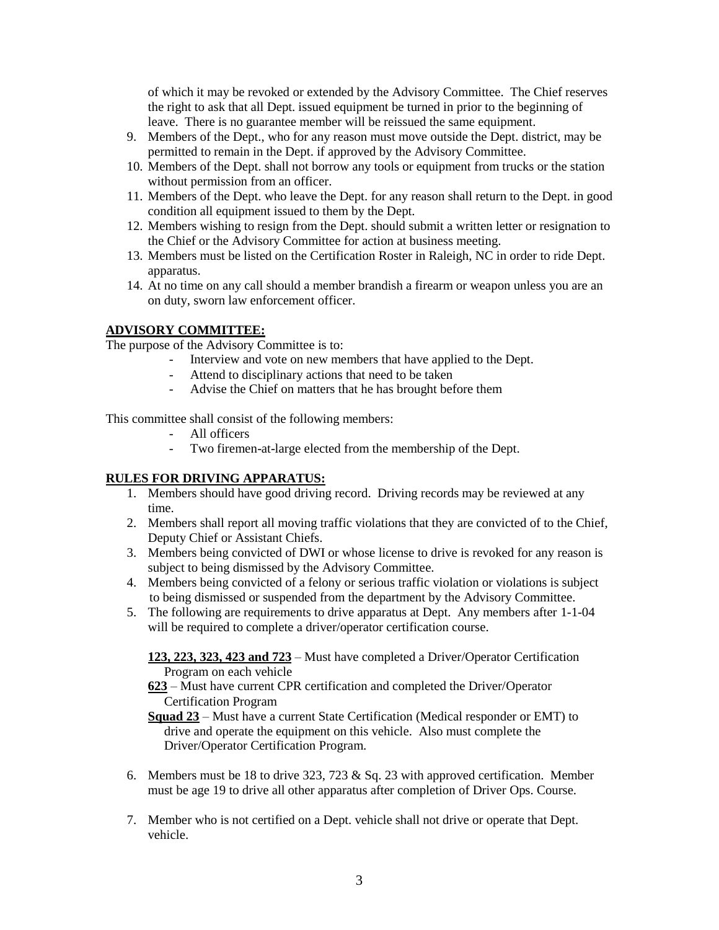of which it may be revoked or extended by the Advisory Committee. The Chief reserves the right to ask that all Dept. issued equipment be turned in prior to the beginning of leave. There is no guarantee member will be reissued the same equipment.

- 9. Members of the Dept., who for any reason must move outside the Dept. district, may be permitted to remain in the Dept. if approved by the Advisory Committee.
- 10. Members of the Dept. shall not borrow any tools or equipment from trucks or the station without permission from an officer.
- 11. Members of the Dept. who leave the Dept. for any reason shall return to the Dept. in good condition all equipment issued to them by the Dept.
- 12. Members wishing to resign from the Dept. should submit a written letter or resignation to the Chief or the Advisory Committee for action at business meeting.
- 13. Members must be listed on the Certification Roster in Raleigh, NC in order to ride Dept. apparatus.
- 14. At no time on any call should a member brandish a firearm or weapon unless you are an on duty, sworn law enforcement officer.

#### **ADVISORY COMMITTEE:**

The purpose of the Advisory Committee is to:

- Interview and vote on new members that have applied to the Dept.
- Attend to disciplinary actions that need to be taken
- Advise the Chief on matters that he has brought before them

This committee shall consist of the following members:

- All officers
- Two firemen-at-large elected from the membership of the Dept.

#### **RULES FOR DRIVING APPARATUS:**

- 1. Members should have good driving record. Driving records may be reviewed at any time.
- 2. Members shall report all moving traffic violations that they are convicted of to the Chief, Deputy Chief or Assistant Chiefs.
- 3. Members being convicted of DWI or whose license to drive is revoked for any reason is subject to being dismissed by the Advisory Committee.
- 4. Members being convicted of a felony or serious traffic violation or violations is subject to being dismissed or suspended from the department by the Advisory Committee.
- 5. The following are requirements to drive apparatus at Dept. Any members after 1-1-04 will be required to complete a driver/operator certification course.

**123, 223, 323, 423 and 723** – Must have completed a Driver/Operator Certification Program on each vehicle

**623** – Must have current CPR certification and completed the Driver/Operator Certification Program

**Squad 23** – Must have a current State Certification (Medical responder or EMT) to drive and operate the equipment on this vehicle. Also must complete the Driver/Operator Certification Program.

- 6. Members must be 18 to drive 323, 723 & Sq. 23 with approved certification. Member must be age 19 to drive all other apparatus after completion of Driver Ops. Course.
- 7. Member who is not certified on a Dept. vehicle shall not drive or operate that Dept. vehicle.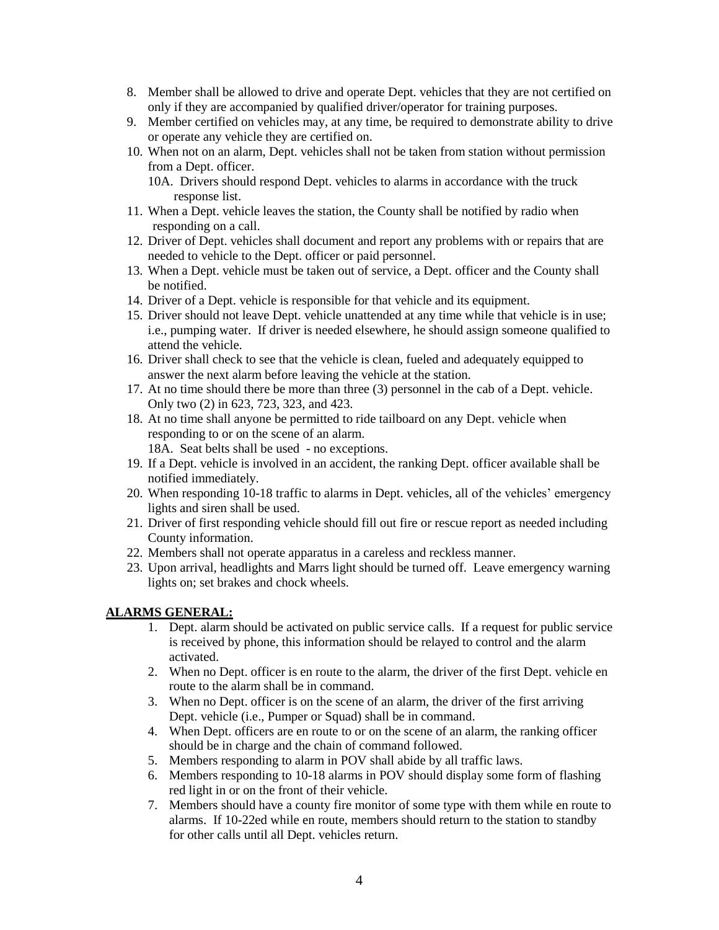- 8. Member shall be allowed to drive and operate Dept. vehicles that they are not certified on only if they are accompanied by qualified driver/operator for training purposes.
- 9. Member certified on vehicles may, at any time, be required to demonstrate ability to drive or operate any vehicle they are certified on.
- 10. When not on an alarm, Dept. vehicles shall not be taken from station without permission from a Dept. officer.

10A. Drivers should respond Dept. vehicles to alarms in accordance with the truck response list.

- 11. When a Dept. vehicle leaves the station, the County shall be notified by radio when responding on a call.
- 12. Driver of Dept. vehicles shall document and report any problems with or repairs that are needed to vehicle to the Dept. officer or paid personnel.
- 13. When a Dept. vehicle must be taken out of service, a Dept. officer and the County shall be notified.
- 14. Driver of a Dept. vehicle is responsible for that vehicle and its equipment.
- 15. Driver should not leave Dept. vehicle unattended at any time while that vehicle is in use; i.e., pumping water. If driver is needed elsewhere, he should assign someone qualified to attend the vehicle.
- 16. Driver shall check to see that the vehicle is clean, fueled and adequately equipped to answer the next alarm before leaving the vehicle at the station.
- 17. At no time should there be more than three (3) personnel in the cab of a Dept. vehicle. Only two (2) in 623, 723, 323, and 423.
- 18. At no time shall anyone be permitted to ride tailboard on any Dept. vehicle when responding to or on the scene of an alarm. 18A. Seat belts shall be used - no exceptions.
- 19. If a Dept. vehicle is involved in an accident, the ranking Dept. officer available shall be notified immediately.
- 20. When responding 10-18 traffic to alarms in Dept. vehicles, all of the vehicles' emergency lights and siren shall be used.
- 21. Driver of first responding vehicle should fill out fire or rescue report as needed including County information.
- 22. Members shall not operate apparatus in a careless and reckless manner.
- 23. Upon arrival, headlights and Marrs light should be turned off. Leave emergency warning lights on; set brakes and chock wheels.

#### **ALARMS GENERAL:**

- 1. Dept. alarm should be activated on public service calls. If a request for public service is received by phone, this information should be relayed to control and the alarm activated.
- 2. When no Dept. officer is en route to the alarm, the driver of the first Dept. vehicle en route to the alarm shall be in command.
- 3. When no Dept. officer is on the scene of an alarm, the driver of the first arriving Dept. vehicle (i.e., Pumper or Squad) shall be in command.
- 4. When Dept. officers are en route to or on the scene of an alarm, the ranking officer should be in charge and the chain of command followed.
- 5. Members responding to alarm in POV shall abide by all traffic laws.
- 6. Members responding to 10-18 alarms in POV should display some form of flashing red light in or on the front of their vehicle.
- 7. Members should have a county fire monitor of some type with them while en route to alarms. If 10-22ed while en route, members should return to the station to standby for other calls until all Dept. vehicles return.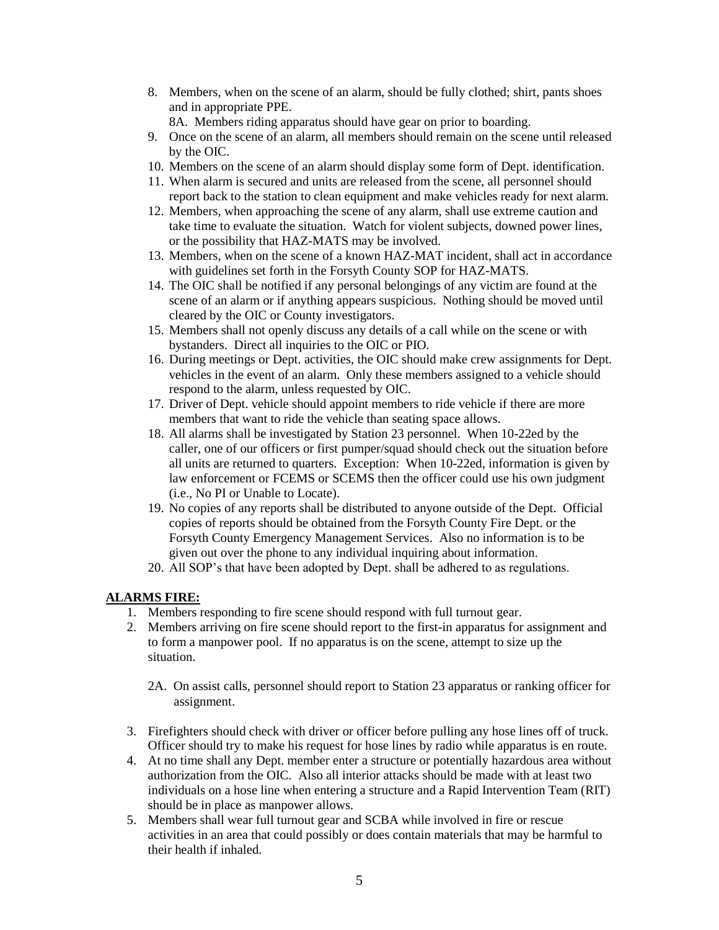8. Members, when on the scene of an alarm, should be fully clothed; shirt, pants shoes and in appropriate PPE.

8A. Members riding apparatus should have gear on prior to boarding.

- 9. Once on the scene of an alarm, all members should remain on the scene until released by the OIC.
- 10. Members on the scene of an alarm should display some form of Dept. identification.
- 11. When alarm is secured and units are released from the scene, all personnel should report back to the station to clean equipment and make vehicles ready for next alarm.
- 12. Members, when approaching the scene of any alarm, shall use extreme caution and take time to evaluate the situation. Watch for violent subjects, downed power lines, or the possibility that HAZ-MATS may be involved.
- 13. Members, when on the scene of a known HAZ-MAT incident, shall act in accordance with guidelines set forth in the Forsyth County SOP for HAZ-MATS.
- 14. The OIC shall be notified if any personal belongings of any victim are found at the scene of an alarm or if anything appears suspicious. Nothing should be moved until cleared by the OIC or County investigators.
- 15. Members shall not openly discuss any details of a call while on the scene or with bystanders. Direct all inquiries to the OIC or PIO.
- 16. During meetings or Dept. activities, the OIC should make crew assignments for Dept. vehicles in the event of an alarm. Only these members assigned to a vehicle should respond to the alarm, unless requested by OIC.
- 17. Driver of Dept. vehicle should appoint members to ride vehicle if there are more members that want to ride the vehicle than seating space allows.
- 18. All alarms shall be investigated by Station 23 personnel. When 10-22ed by the caller, one of our officers or first pumper/squad should check out the situation before all units are returned to quarters. Exception: When 10-22ed, information is given by law enforcement or FCEMS or SCEMS then the officer could use his own judgment (i.e., No PI or Unable to Locate).
- 19. No copies of any reports shall be distributed to anyone outside of the Dept. Official copies of reports should be obtained from the Forsyth County Fire Dept. or the Forsyth County Emergency Management Services. Also no information is to be given out over the phone to any individual inquiring about information.
- 20. All SOP's that have been adopted by Dept. shall be adhered to as regulations.

### **ALARMS FIRE:**

- 1. Members responding to fire scene should respond with full turnout gear.
- 2. Members arriving on fire scene should report to the first-in apparatus for assignment and to form a manpower pool. If no apparatus is on the scene, attempt to size up the situation.
	- 2A. On assist calls, personnel should report to Station 23 apparatus or ranking officer for assignment.
- 3. Firefighters should check with driver or officer before pulling any hose lines off of truck. Officer should try to make his request for hose lines by radio while apparatus is en route.
- 4. At no time shall any Dept. member enter a structure or potentially hazardous area without authorization from the OIC. Also all interior attacks should be made with at least two individuals on a hose line when entering a structure and a Rapid Intervention Team (RIT) should be in place as manpower allows.
- 5. Members shall wear full turnout gear and SCBA while involved in fire or rescue activities in an area that could possibly or does contain materials that may be harmful to their health if inhaled.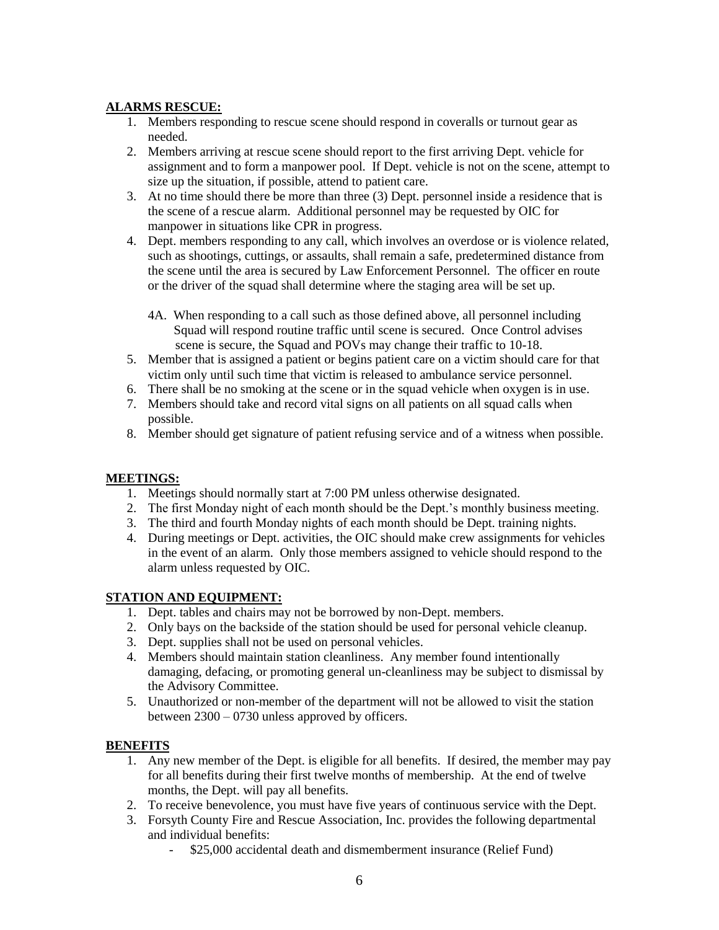## **ALARMS RESCUE:**

- 1. Members responding to rescue scene should respond in coveralls or turnout gear as needed.
- 2. Members arriving at rescue scene should report to the first arriving Dept. vehicle for assignment and to form a manpower pool. If Dept. vehicle is not on the scene, attempt to size up the situation, if possible, attend to patient care.
- 3. At no time should there be more than three (3) Dept. personnel inside a residence that is the scene of a rescue alarm. Additional personnel may be requested by OIC for manpower in situations like CPR in progress.
- 4. Dept. members responding to any call, which involves an overdose or is violence related, such as shootings, cuttings, or assaults, shall remain a safe, predetermined distance from the scene until the area is secured by Law Enforcement Personnel. The officer en route or the driver of the squad shall determine where the staging area will be set up.
	- 4A. When responding to a call such as those defined above, all personnel including Squad will respond routine traffic until scene is secured. Once Control advises scene is secure, the Squad and POVs may change their traffic to 10-18.
- 5. Member that is assigned a patient or begins patient care on a victim should care for that victim only until such time that victim is released to ambulance service personnel.
- 6. There shall be no smoking at the scene or in the squad vehicle when oxygen is in use.
- 7. Members should take and record vital signs on all patients on all squad calls when possible.
- 8. Member should get signature of patient refusing service and of a witness when possible.

### **MEETINGS:**

- 1. Meetings should normally start at 7:00 PM unless otherwise designated.
- 2. The first Monday night of each month should be the Dept.'s monthly business meeting.
- 3. The third and fourth Monday nights of each month should be Dept. training nights.
- 4. During meetings or Dept. activities, the OIC should make crew assignments for vehicles in the event of an alarm. Only those members assigned to vehicle should respond to the alarm unless requested by OIC.

### **STATION AND EQUIPMENT:**

- 1. Dept. tables and chairs may not be borrowed by non-Dept. members.
- 2. Only bays on the backside of the station should be used for personal vehicle cleanup.
- 3. Dept. supplies shall not be used on personal vehicles.
- 4. Members should maintain station cleanliness. Any member found intentionally damaging, defacing, or promoting general un-cleanliness may be subject to dismissal by the Advisory Committee.
- 5. Unauthorized or non-member of the department will not be allowed to visit the station between 2300 – 0730 unless approved by officers.

### **BENEFITS**

- 1. Any new member of the Dept. is eligible for all benefits. If desired, the member may pay for all benefits during their first twelve months of membership. At the end of twelve months, the Dept. will pay all benefits.
- 2. To receive benevolence, you must have five years of continuous service with the Dept.
- 3. Forsyth County Fire and Rescue Association, Inc. provides the following departmental and individual benefits:
	- \$25,000 accidental death and dismemberment insurance (Relief Fund)